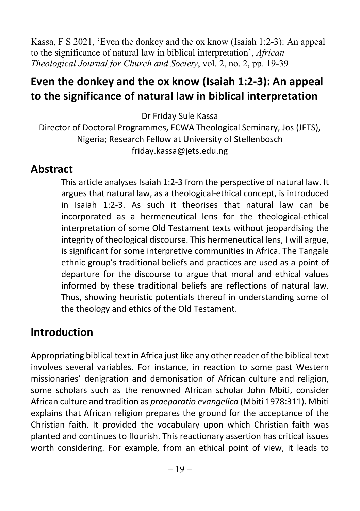Kassa, F S 2021, 'Even the donkey and the ox know (Isaiah 1:2-3): An appeal to the significance of natural law in biblical interpretation', African Theological Journal for Church and Society, vol. 2, no. 2, pp. 19-39

## Even the donkey and the ox know (Isaiah 1:2-3): An appeal to the significance of natural law in biblical interpretation

Dr Friday Sule Kassa

Director of Doctoral Programmes, ECWA Theological Seminary, Jos (JETS), Nigeria; Research Fellow at University of Stellenbosch friday.kassa@jets.edu.ng

### Abstract

This article analyses Isaiah 1:2-3 from the perspective of natural law. It argues that natural law, as a theological-ethical concept, is introduced in Isaiah 1:2-3. As such it theorises that natural law can be incorporated as a hermeneutical lens for the theological-ethical interpretation of some Old Testament texts without jeopardising the integrity of theological discourse. This hermeneutical lens, I will argue, is significant for some interpretive communities in Africa. The Tangale ethnic group's traditional beliefs and practices are used as a point of departure for the discourse to argue that moral and ethical values informed by these traditional beliefs are reflections of natural law. Thus, showing heuristic potentials thereof in understanding some of the theology and ethics of the Old Testament.

## Introduction

Appropriating biblical text in Africa just like any other reader of the biblical text involves several variables. For instance, in reaction to some past Western missionaries' denigration and demonisation of African culture and religion, some scholars such as the renowned African scholar John Mbiti, consider African culture and tradition as praeparatio evangelica (Mbiti 1978:311). Mbiti explains that African religion prepares the ground for the acceptance of the Christian faith. It provided the vocabulary upon which Christian faith was planted and continues to flourish. This reactionary assertion has critical issues worth considering. For example, from an ethical point of view, it leads to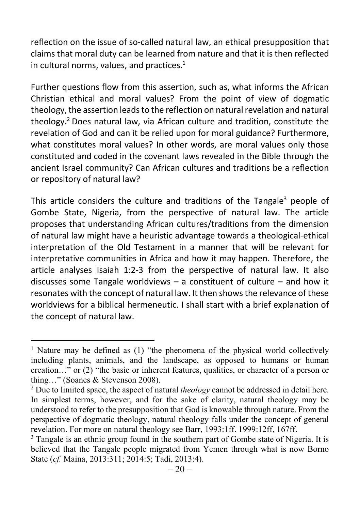reflection on the issue of so-called natural law, an ethical presupposition that claims that moral duty can be learned from nature and that it is then reflected in cultural norms, values, and practices. $1$ 

Further questions flow from this assertion, such as, what informs the African Christian ethical and moral values? From the point of view of dogmatic theology, the assertion leads to the reflection on natural revelation and natural theology.<sup>2</sup> Does natural law, via African culture and tradition, constitute the revelation of God and can it be relied upon for moral guidance? Furthermore, what constitutes moral values? In other words, are moral values only those constituted and coded in the covenant laws revealed in the Bible through the ancient Israel community? Can African cultures and traditions be a reflection or repository of natural law?

This article considers the culture and traditions of the Tangale<sup>3</sup> people of Gombe State, Nigeria, from the perspective of natural law. The article proposes that understanding African cultures/traditions from the dimension of natural law might have a heuristic advantage towards a theological-ethical interpretation of the Old Testament in a manner that will be relevant for interpretative communities in Africa and how it may happen. Therefore, the article analyses Isaiah 1:2-3 from the perspective of natural law. It also discusses some Tangale worldviews – a constituent of culture – and how it resonates with the concept of natural law. It then shows the relevance of these worldviews for a biblical hermeneutic. I shall start with a brief explanation of the concept of natural law.

<sup>&</sup>lt;sup>1</sup> Nature may be defined as (1) "the phenomena of the physical world collectively including plants, animals, and the landscape, as opposed to humans or human creation…" or (2) "the basic or inherent features, qualities, or character of a person or thing…" (Soanes & Stevenson 2008).

<sup>&</sup>lt;sup>2</sup> Due to limited space, the aspect of natural *theology* cannot be addressed in detail here. In simplest terms, however, and for the sake of clarity, natural theology may be understood to refer to the presupposition that God is knowable through nature. From the perspective of dogmatic theology, natural theology falls under the concept of general revelation. For more on natural theology see Barr, 1993:1ff. 1999:12ff, 167ff.

<sup>&</sup>lt;sup>3</sup> Tangale is an ethnic group found in the southern part of Gombe state of Nigeria. It is believed that the Tangale people migrated from Yemen through what is now Borno State (cf. Maina, 2013:311; 2014:5; Tadi, 2013:4).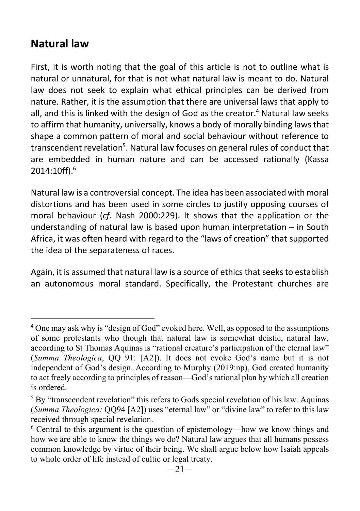### Natural law

First, it is worth noting that the goal of this article is not to outline what is natural or unnatural, for that is not what natural law is meant to do. Natural law does not seek to explain what ethical principles can be derived from nature. Rather, it is the assumption that there are universal laws that apply to all, and this is linked with the design of God as the creator.<sup>4</sup> Natural law seeks to affirm that humanity, universally, knows a body of morally binding laws that shape a common pattern of moral and social behaviour without reference to transcendent revelation<sup>5</sup>. Natural law focuses on general rules of conduct that are embedded in human nature and can be accessed rationally (Kassa 2014:10ff).<sup>6</sup>

Natural law is a controversial concept. The idea has been associated with moral distortions and has been used in some circles to justify opposing courses of moral behaviour (cf. Nash 2000:229). It shows that the application or the understanding of natural law is based upon human interpretation – in South Africa, it was often heard with regard to the "laws of creation" that supported the idea of the separateness of races.

Again, it is assumed that natural law is a source of ethics that seeks to establish an autonomous moral standard. Specifically, the Protestant churches are

<sup>&</sup>lt;sup>4</sup> One may ask why is "design of God" evoked here. Well, as opposed to the assumptions of some protestants who though that natural law is somewhat deistic, natural law, according to St Thomas Aquinas is "rational creature's participation of the eternal law" (Summa Theologica, QQ 91: [A2]). It does not evoke God's name but it is not independent of God's design. According to Murphy (2019:np), God created humanity to act freely according to principles of reason—God's rational plan by which all creation is ordered.

<sup>&</sup>lt;sup>5</sup> By "transcendent revelation" this refers to Gods special revelation of his law. Aquinas (Summa Theologica: QQ94 [A2]) uses "eternal law" or "divine law" to refer to this law received through special revelation.

<sup>&</sup>lt;sup>6</sup> Central to this argument is the question of epistemology—how we know things and how we are able to know the things we do? Natural law argues that all humans possess common knowledge by virtue of their being. We shall argue below how Isaiah appeals to whole order of life instead of cultic or legal treaty.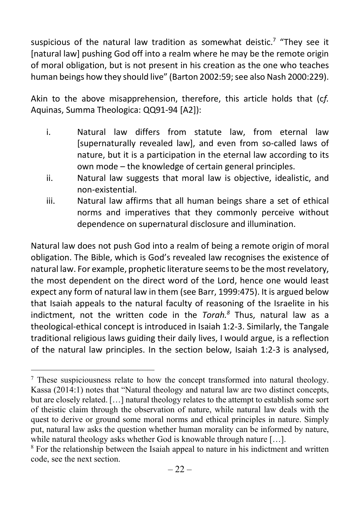suspicious of the natural law tradition as somewhat deistic.<sup>7</sup> "They see it [natural law] pushing God off into a realm where he may be the remote origin of moral obligation, but is not present in his creation as the one who teaches human beings how they should live" (Barton 2002:59; see also Nash 2000:229).

Akin to the above misapprehension, therefore, this article holds that (cf. Aquinas, Summa Theologica: QQ91-94 [A2]):

- i. Natural law differs from statute law, from eternal law [supernaturally revealed law], and even from so-called laws of nature, but it is a participation in the eternal law according to its own mode – the knowledge of certain general principles.
- ii. Natural law suggests that moral law is objective, idealistic, and non-existential.
- iii. Natural law affirms that all human beings share a set of ethical norms and imperatives that they commonly perceive without dependence on supernatural disclosure and illumination.

Natural law does not push God into a realm of being a remote origin of moral obligation. The Bible, which is God's revealed law recognises the existence of natural law. For example, prophetic literature seems to be the most revelatory, the most dependent on the direct word of the Lord, hence one would least expect any form of natural law in them (see Barr, 1999:475). It is argued below that Isaiah appeals to the natural faculty of reasoning of the Israelite in his indictment, not the written code in the  $Torah.^8$  Thus, natural law as a theological-ethical concept is introduced in Isaiah 1:2-3. Similarly, the Tangale traditional religious laws guiding their daily lives, I would argue, is a reflection of the natural law principles. In the section below, Isaiah 1:2-3 is analysed,

<sup>&</sup>lt;sup>7</sup> These suspiciousness relate to how the concept transformed into natural theology. Kassa (2014:1) notes that "Natural theology and natural law are two distinct concepts, but are closely related. […] natural theology relates to the attempt to establish some sort of theistic claim through the observation of nature, while natural law deals with the quest to derive or ground some moral norms and ethical principles in nature. Simply put, natural law asks the question whether human morality can be informed by nature, while natural theology asks whether God is knowable through nature [...].

<sup>&</sup>lt;sup>8</sup> For the relationship between the Isaiah appeal to nature in his indictment and written code, see the next section.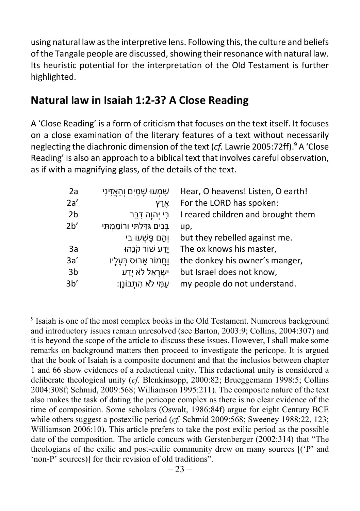using natural law as the interpretive lens. Following this, the culture and beliefs of the Tangale people are discussed, showing their resonance with natural law. Its heuristic potential for the interpretation of the Old Testament is further highlighted.

### Natural law in Isaiah 1:2-3? A Close Reading

A 'Close Reading' is a form of criticism that focuses on the text itself. It focuses on a close examination of the literary features of a text without necessarily neglecting the diachronic dimension of the text (cf. Lawrie 2005:72ff).<sup>9</sup> A 'Close Reading' is also an approach to a biblical text that involves careful observation, as if with a magnifying glass, of the details of the text.

| 2a             | ּשָׁמָעוּ שָׁמַיִם וְהַאֲזִינִי  | Hear, O heavens! Listen, O earth!  |
|----------------|----------------------------------|------------------------------------|
| 2a'            | אָרץ                             | For the LORD has spoken:           |
| 2 <sub>b</sub> | כִּי יִהוָה דְּבֵּר              | I reared children and brought them |
| 2 <sup>b</sup> | בָּנִים גְדַלְתִּי וְרוֹמַמְתִּי | up,                                |
|                | ּוְהֵם פָּשָׁעוּ בִי             | but they rebelled against me.      |
| 3a             | יָדַע שׁוֹר קֹנֵהוּ              | The ox knows his master,           |
| 3a'            | וַחֲמוֹר אֵבוּס בִּעָלָיו        | the donkey his owner's manger,     |
| 3b             | יְשָׂרָאֵל לֹא יָדַע             | but Israel does not know,          |
| 3 <sub>b</sub> | ּעַמִּי לֹא הָתָבּוֹנָן:         | my people do not understand.       |
|                |                                  |                                    |

<sup>&</sup>lt;sup>9</sup> Isaiah is one of the most complex books in the Old Testament. Numerous background and introductory issues remain unresolved (see Barton, 2003:9; Collins, 2004:307) and it is beyond the scope of the article to discuss these issues. However, I shall make some remarks on background matters then proceed to investigate the pericope. It is argued that the book of Isaiah is a composite document and that the inclusios between chapter 1 and 66 show evidences of a redactional unity. This redactional unity is considered a deliberate theological unity (cf. Blenkinsopp, 2000:82; Brueggemann 1998:5; Collins 2004:308f; Schmid, 2009:568; Williamson 1995:211). The composite nature of the text also makes the task of dating the pericope complex as there is no clear evidence of the time of composition. Some scholars (Oswalt, 1986:84f) argue for eight Century BCE while others suggest a postexilic period (cf. Schmid 2009:568; Sweeney 1988:22, 123; Williamson 2006:10). This article prefers to take the post exilic period as the possible date of the composition. The article concurs with Gerstenberger (2002:314) that "The theologians of the exilic and post-exilic community drew on many sources [('P' and 'non-P' sources)] for their revision of old traditions".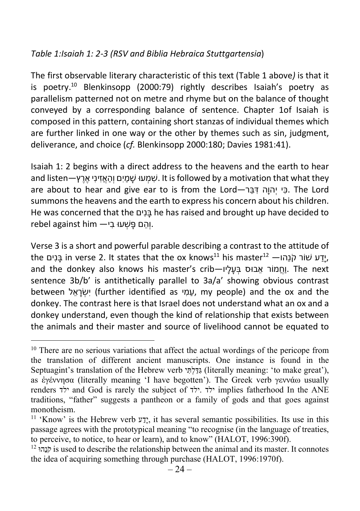#### Table 1:Isaiah 1: 2-3 (RSV and Biblia Hebraica Stuttgartensia)

The first observable literary characteristic of this text (Table 1 above) is that it is poetry.<sup>10</sup> Blenkinsopp (2000:79) rightly describes Isaiah's poetry as parallelism patterned not on metre and rhyme but on the balance of thought conveyed by a corresponding balance of sentence. Chapter 1of Isaiah is composed in this pattern, containing short stanzas of individual themes which are further linked in one way or the other by themes such as sin, judgment, deliverance, and choice (cf. Blenkinsopp 2000:180; Davies 1981:41).

Isaiah 1: 2 begins with a direct address to the heavens and the earth to hear and listen—עמעוּ שׁמים והאזיני ארץ—and listen . וואסים והאזיני ארץ  $\mu$  it is followed by a motivation that what they are about to hear and give ear to is from the Lord—בּרֵ דִּ והָיהְ כּיִ . The Lord summons the heavens and the earth to express his concern about his children. He was concerned that the ניםִ בָּ he has raised and brought up have decided to rebel against him —יהָם פַּשָׁעוּ בִי

Verse 3 is a short and powerful parable describing a contrast to the attitude of the נָּנִים, in verse 2. It states that the ox knows $^{\rm 11}$  his master $^{\rm 12}$  — יָדַע שׁוֹר קֹנֵהו, and the donkey also knows his master's crib—וֹחֲמוֹר אֲבוּס בְּעָלַיוּ. The next sentence 3b/b' is antithetically parallel to 3a/a' showing obvious contrast between אלֵ רָשְׂ יִ) further identified as מיִ עַ , my people) and the ox and the donkey. The contrast here is that Israel does not understand what an ox and a donkey understand, even though the kind of relationship that exists between the animals and their master and source of livelihood cannot be equated to

 $10$  There are no serious variations that affect the actual wordings of the pericope from the translation of different ancient manuscripts. One instance is found in the Septuagint's translation of the Hebrew verb גֲדָלְתָּי (literally meaning: 'to make great'), as ἐγέννησα (literally meaning 'I have begotten'). The Greek verb γεννάω usually renders ילד and God is rarely the subject of ילד. ילד implies fatherhood In the ANE traditions, "father" suggests a pantheon or a family of gods and that goes against monotheism.

<sup>&</sup>lt;sup>11</sup> 'Know' is the Hebrew verb  $\overline{y}$ ', it has several semantic possibilities. Its use in this passage agrees with the prototypical meaning "to recognise (in the language of treaties, to perceive, to notice, to hear or learn), and to know" (HALOT, 1996:390f).

 $^{12}$  is used to describe the relationship between the animal and its master. It connotes the idea of acquiring something through purchase (HALOT, 1996:1970f).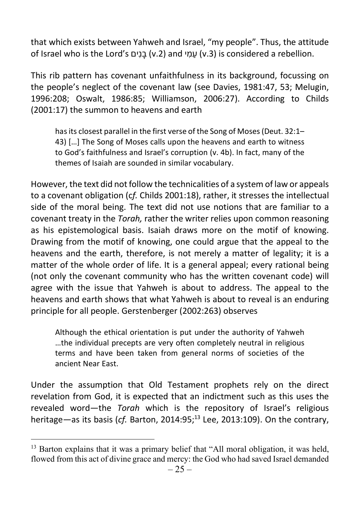that which exists between Yahweh and Israel, "my people". Thus, the attitude of Israel who is the Lord's נים (v.2) and עמי) is considered a rebellion.

This rib pattern has covenant unfaithfulness in its background, focussing on the people's neglect of the covenant law (see Davies, 1981:47, 53; Melugin, 1996:208; Oswalt, 1986:85; Williamson, 2006:27). According to Childs (2001:17) the summon to heavens and earth

has its closest parallel in the first verse of the Song of Moses (Deut. 32:1– 43) […] The Song of Moses calls upon the heavens and earth to witness to God's faithfulness and Israel's corruption (v. 4b). In fact, many of the themes of Isaiah are sounded in similar vocabulary.

However, the text did not follow the technicalities of a system of law or appeals to a covenant obligation (cf. Childs 2001:18), rather, it stresses the intellectual side of the moral being. The text did not use notions that are familiar to a covenant treaty in the Torah, rather the writer relies upon common reasoning as his epistemological basis. Isaiah draws more on the motif of knowing. Drawing from the motif of knowing, one could argue that the appeal to the heavens and the earth, therefore, is not merely a matter of legality; it is a matter of the whole order of life. It is a general appeal; every rational being (not only the covenant community who has the written covenant code) will agree with the issue that Yahweh is about to address. The appeal to the heavens and earth shows that what Yahweh is about to reveal is an enduring principle for all people. Gerstenberger (2002:263) observes

Although the ethical orientation is put under the authority of Yahweh …the individual precepts are very often completely neutral in religious terms and have been taken from general norms of societies of the ancient Near East.

Under the assumption that Old Testament prophets rely on the direct revelation from God, it is expected that an indictment such as this uses the revealed word—the Torah which is the repository of Israel's religious heritage—as its basis (cf. Barton, 2014:95; $^{13}$  Lee, 2013:109). On the contrary,

<sup>&</sup>lt;sup>13</sup> Barton explains that it was a primary belief that "All moral obligation, it was held, flowed from this act of divine grace and mercy: the God who had saved Israel demanded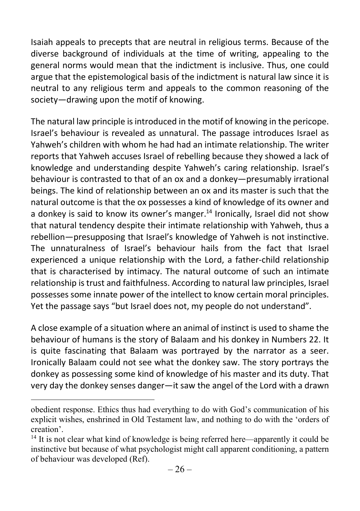Isaiah appeals to precepts that are neutral in religious terms. Because of the diverse background of individuals at the time of writing, appealing to the general norms would mean that the indictment is inclusive. Thus, one could argue that the epistemological basis of the indictment is natural law since it is neutral to any religious term and appeals to the common reasoning of the society—drawing upon the motif of knowing.

The natural law principle is introduced in the motif of knowing in the pericope. Israel's behaviour is revealed as unnatural. The passage introduces Israel as Yahweh's children with whom he had had an intimate relationship. The writer reports that Yahweh accuses Israel of rebelling because they showed a lack of knowledge and understanding despite Yahweh's caring relationship. Israel's behaviour is contrasted to that of an ox and a donkey—presumably irrational beings. The kind of relationship between an ox and its master is such that the natural outcome is that the ox possesses a kind of knowledge of its owner and a donkey is said to know its owner's manger.<sup>14</sup> Ironically, Israel did not show that natural tendency despite their intimate relationship with Yahweh, thus a rebellion—presupposing that Israel's knowledge of Yahweh is not instinctive. The unnaturalness of Israel's behaviour hails from the fact that Israel experienced a unique relationship with the Lord, a father-child relationship that is characterised by intimacy. The natural outcome of such an intimate relationship is trust and faithfulness. According to natural law principles, Israel possesses some innate power of the intellect to know certain moral principles. Yet the passage says "but Israel does not, my people do not understand".

A close example of a situation where an animal of instinct is used to shame the behaviour of humans is the story of Balaam and his donkey in Numbers 22. It is quite fascinating that Balaam was portrayed by the narrator as a seer. Ironically Balaam could not see what the donkey saw. The story portrays the donkey as possessing some kind of knowledge of his master and its duty. That very day the donkey senses danger—it saw the angel of the Lord with a drawn

obedient response. Ethics thus had everything to do with God's communication of his explicit wishes, enshrined in Old Testament law, and nothing to do with the 'orders of creation'.

<sup>&</sup>lt;sup>14</sup> It is not clear what kind of knowledge is being referred here—apparently it could be instinctive but because of what psychologist might call apparent conditioning, a pattern of behaviour was developed (Ref).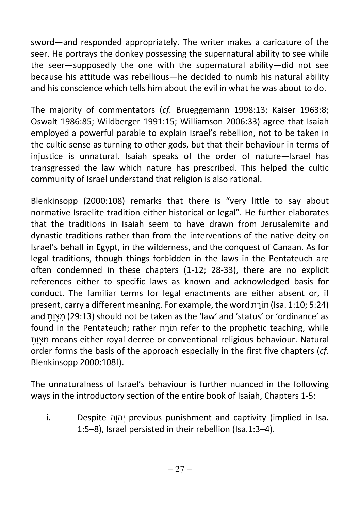sword—and responded appropriately. The writer makes a caricature of the seer. He portrays the donkey possessing the supernatural ability to see while the seer—supposedly the one with the supernatural ability—did not see because his attitude was rebellious—he decided to numb his natural ability and his conscience which tells him about the evil in what he was about to do.

The majority of commentators (cf. Brueggemann 1998:13; Kaiser 1963:8; Oswalt 1986:85; Wildberger 1991:15; Williamson 2006:33) agree that Isaiah employed a powerful parable to explain Israel's rebellion, not to be taken in the cultic sense as turning to other gods, but that their behaviour in terms of injustice is unnatural. Isaiah speaks of the order of nature—Israel has transgressed the law which nature has prescribed. This helped the cultic community of Israel understand that religion is also rational.

Blenkinsopp (2000:108) remarks that there is "very little to say about normative Israelite tradition either historical or legal". He further elaborates that the traditions in Isaiah seem to have drawn from Jerusalemite and dynastic traditions rather than from the interventions of the native deity on Israel's behalf in Egypt, in the wilderness, and the conquest of Canaan. As for legal traditions, though things forbidden in the laws in the Pentateuch are often condemned in these chapters (1-12; 28-33), there are no explicit references either to specific laws as known and acknowledged basis for conduct. The familiar terms for legal enactments are either absent or, if present, carry a different meaning. For example, the word רתַתוֹ) Isa. 1:10; 5:24) and מצות (29:13) should not be taken as the 'law' and 'status' or 'ordinance' as found in the Pentateuch; rather רתַתוֹ refer to the prophetic teaching, while ת֥ וַצְ מִ means either royal decree or conventional religious behaviour. Natural order forms the basis of the approach especially in the first five chapters (cf. Blenkinsopp 2000:108f).

The unnaturalness of Israel's behaviour is further nuanced in the following ways in the introductory section of the entire book of Isaiah, Chapters 1-5:

i. Despite והָיהְ previous punishment and captivity (implied in Isa. 1:5–8), Israel persisted in their rebellion (Isa.1:3–4).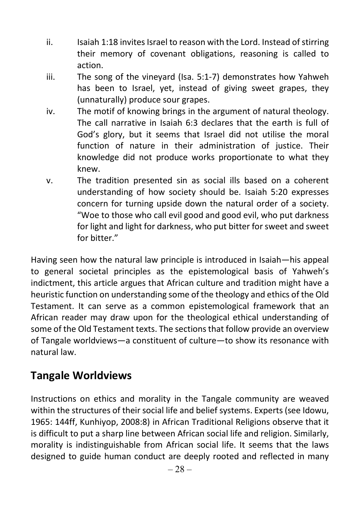- ii. Isaiah 1:18 invites Israel to reason with the Lord. Instead of stirring their memory of covenant obligations, reasoning is called to action.
- iii. The song of the vineyard (Isa. 5:1-7) demonstrates how Yahweh has been to Israel, yet, instead of giving sweet grapes, they (unnaturally) produce sour grapes.
- iv. The motif of knowing brings in the argument of natural theology. The call narrative in Isaiah 6:3 declares that the earth is full of God's glory, but it seems that Israel did not utilise the moral function of nature in their administration of justice. Their knowledge did not produce works proportionate to what they knew.
- v. The tradition presented sin as social ills based on a coherent understanding of how society should be. Isaiah 5:20 expresses concern for turning upside down the natural order of a society. "Woe to those who call evil good and good evil, who put darkness for light and light for darkness, who put bitter for sweet and sweet for bitter."

Having seen how the natural law principle is introduced in Isaiah—his appeal to general societal principles as the epistemological basis of Yahweh's indictment, this article argues that African culture and tradition might have a heuristic function on understanding some of the theology and ethics of the Old Testament. It can serve as a common epistemological framework that an African reader may draw upon for the theological ethical understanding of some of the Old Testament texts. The sections that follow provide an overview of Tangale worldviews—a constituent of culture—to show its resonance with natural law.

## Tangale Worldviews

Instructions on ethics and morality in the Tangale community are weaved within the structures of their social life and belief systems. Experts (see Idowu, 1965: 144ff, Kunhiyop, 2008:8) in African Traditional Religions observe that it is difficult to put a sharp line between African social life and religion. Similarly, morality is indistinguishable from African social life. It seems that the laws designed to guide human conduct are deeply rooted and reflected in many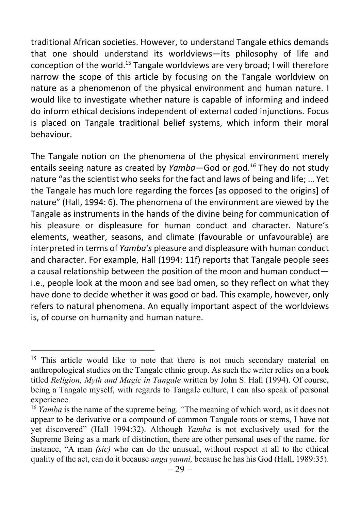traditional African societies. However, to understand Tangale ethics demands that one should understand its worldviews—its philosophy of life and conception of the world.<sup>15</sup> Tangale worldviews are very broad; I will therefore narrow the scope of this article by focusing on the Tangale worldview on nature as a phenomenon of the physical environment and human nature. I would like to investigate whether nature is capable of informing and indeed do inform ethical decisions independent of external coded injunctions. Focus is placed on Tangale traditional belief systems, which inform their moral behaviour.

The Tangale notion on the phenomena of the physical environment merely entails seeing nature as created by Yamba-God or god.<sup>16</sup> They do not study nature "as the scientist who seeks for the fact and laws of being and life; … Yet the Tangale has much lore regarding the forces [as opposed to the origins] of nature" (Hall, 1994: 6). The phenomena of the environment are viewed by the Tangale as instruments in the hands of the divine being for communication of his pleasure or displeasure for human conduct and character. Nature's elements, weather, seasons, and climate (favourable or unfavourable) are interpreted in terms of Yamba's pleasure and displeasure with human conduct and character. For example, Hall (1994: 11f) reports that Tangale people sees a causal relationship between the position of the moon and human conduct i.e., people look at the moon and see bad omen, so they reflect on what they have done to decide whether it was good or bad. This example, however, only refers to natural phenomena. An equally important aspect of the worldviews is, of course on humanity and human nature.

<sup>&</sup>lt;sup>15</sup> This article would like to note that there is not much secondary material on anthropological studies on the Tangale ethnic group. As such the writer relies on a book titled Religion, Myth and Magic in Tangale written by John S. Hall (1994). Of course, being a Tangale myself, with regards to Tangale culture, I can also speak of personal experience.

<sup>&</sup>lt;sup>16</sup> *Yamba* is the name of the supreme being. "The meaning of which word, as it does not appear to be derivative or a compound of common Tangale roots or stems, I have not yet discovered" (Hall 1994:32). Although Yamba is not exclusively used for the Supreme Being as a mark of distinction, there are other personal uses of the name. for instance, "A man (sic) who can do the unusual, without respect at all to the ethical quality of the act, can do it because *anga yamni*, because he has his God (Hall, 1989:35).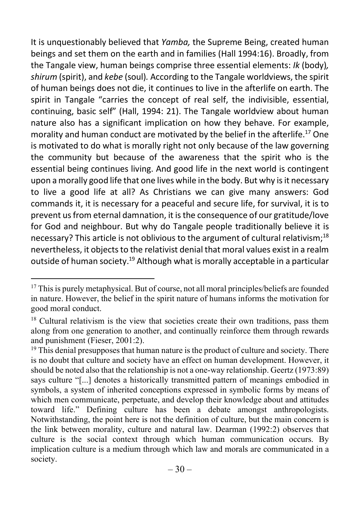It is unquestionably believed that Yamba, the Supreme Being, created human beings and set them on the earth and in families (Hall 1994:16). Broadly, from the Tangale view, human beings comprise three essential elements: Ik (body), shirum (spirit), and kebe (soul). According to the Tangale worldviews, the spirit of human beings does not die, it continues to live in the afterlife on earth. The spirit in Tangale "carries the concept of real self, the indivisible, essential, continuing, basic self" (Hall, 1994: 21). The Tangale worldview about human nature also has a significant implication on how they behave. For example, morality and human conduct are motivated by the belief in the afterlife.<sup>17</sup> One is motivated to do what is morally right not only because of the law governing the community but because of the awareness that the spirit who is the essential being continues living. And good life in the next world is contingent upon a morally good life that one lives while in the body. But why is it necessary to live a good life at all? As Christians we can give many answers: God commands it, it is necessary for a peaceful and secure life, for survival, it is to prevent us from eternal damnation, it is the consequence of our gratitude/love for God and neighbour. But why do Tangale people traditionally believe it is necessary? This article is not oblivious to the argument of cultural relativism:<sup>18</sup> nevertheless, it objects to the relativist denial that moral values exist in a realm outside of human society.<sup>19</sup> Although what is morally acceptable in a particular

<sup>&</sup>lt;sup>17</sup> This is purely metaphysical. But of course, not all moral principles/beliefs are founded in nature. However, the belief in the spirit nature of humans informs the motivation for good moral conduct.

 $18$  Cultural relativism is the view that societies create their own traditions, pass them along from one generation to another, and continually reinforce them through rewards and punishment (Fieser, 2001:2).

 $19$  This denial presupposes that human nature is the product of culture and society. There is no doubt that culture and society have an effect on human development. However, it should be noted also that the relationship is not a one-way relationship. Geertz (1973:89) says culture "[...] denotes a historically transmitted pattern of meanings embodied in symbols, a system of inherited conceptions expressed in symbolic forms by means of which men communicate, perpetuate, and develop their knowledge about and attitudes toward life." Defining culture has been a debate amongst anthropologists. Notwithstanding, the point here is not the definition of culture, but the main concern is the link between morality, culture and natural law. Dearman (1992:2) observes that culture is the social context through which human communication occurs. By implication culture is a medium through which law and morals are communicated in a society.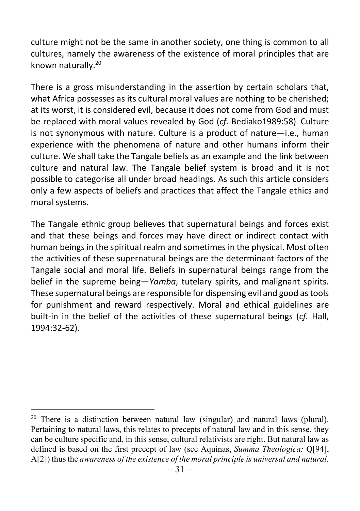culture might not be the same in another society, one thing is common to all cultures, namely the awareness of the existence of moral principles that are known naturally.<sup>20</sup>

There is a gross misunderstanding in the assertion by certain scholars that, what Africa possesses as its cultural moral values are nothing to be cherished; at its worst, it is considered evil, because it does not come from God and must be replaced with moral values revealed by God (cf. Bediako1989:58). Culture is not synonymous with nature. Culture is a product of nature—i.e., human experience with the phenomena of nature and other humans inform their culture. We shall take the Tangale beliefs as an example and the link between culture and natural law. The Tangale belief system is broad and it is not possible to categorise all under broad headings. As such this article considers only a few aspects of beliefs and practices that affect the Tangale ethics and moral systems.

The Tangale ethnic group believes that supernatural beings and forces exist and that these beings and forces may have direct or indirect contact with human beings in the spiritual realm and sometimes in the physical. Most often the activities of these supernatural beings are the determinant factors of the Tangale social and moral life. Beliefs in supernatural beings range from the belief in the supreme being–*Yamba*, tutelary spirits, and malignant spirits. These supernatural beings are responsible for dispensing evil and good as tools for punishment and reward respectively. Moral and ethical guidelines are built-in in the belief of the activities of these supernatural beings (cf. Hall, 1994:32-62).

<sup>&</sup>lt;sup>20</sup> There is a distinction between natural law (singular) and natural laws (plural). Pertaining to natural laws, this relates to precepts of natural law and in this sense, they can be culture specific and, in this sense, cultural relativists are right. But natural law as defined is based on the first precept of law (see Aquinas, Summa Theologica: Q[94], A[2]) thus the awareness of the existence of the moral principle is universal and natural.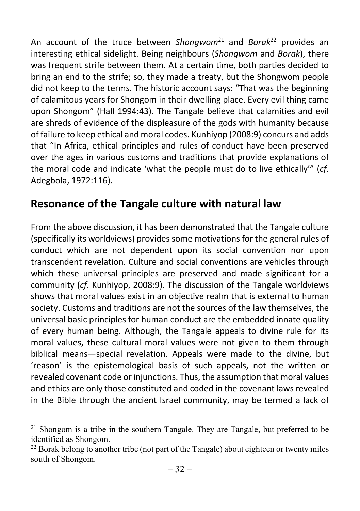An account of the truce between Shongwom<sup>21</sup> and Borak<sup>22</sup> provides an interesting ethical sidelight. Being neighbours (Shongwom and Borak), there was frequent strife between them. At a certain time, both parties decided to bring an end to the strife; so, they made a treaty, but the Shongwom people did not keep to the terms. The historic account says: "That was the beginning of calamitous years for Shongom in their dwelling place. Every evil thing came upon Shongom" (Hall 1994:43). The Tangale believe that calamities and evil are shreds of evidence of the displeasure of the gods with humanity because of failure to keep ethical and moral codes. Kunhiyop (2008:9) concurs and adds that "In Africa, ethical principles and rules of conduct have been preserved over the ages in various customs and traditions that provide explanations of the moral code and indicate 'what the people must do to live ethically'" (cf. Adegbola, 1972:116).

## Resonance of the Tangale culture with natural law

From the above discussion, it has been demonstrated that the Tangale culture (specifically its worldviews) provides some motivations for the general rules of conduct which are not dependent upon its social convention nor upon transcendent revelation. Culture and social conventions are vehicles through which these universal principles are preserved and made significant for a community (cf. Kunhiyop, 2008:9). The discussion of the Tangale worldviews shows that moral values exist in an objective realm that is external to human society. Customs and traditions are not the sources of the law themselves, the universal basic principles for human conduct are the embedded innate quality of every human being. Although, the Tangale appeals to divine rule for its moral values, these cultural moral values were not given to them through biblical means—special revelation. Appeals were made to the divine, but 'reason' is the epistemological basis of such appeals, not the written or revealed covenant code or injunctions. Thus, the assumption that moral values and ethics are only those constituted and coded in the covenant laws revealed in the Bible through the ancient Israel community, may be termed a lack of

<sup>&</sup>lt;sup>21</sup> Shongom is a tribe in the southern Tangale. They are Tangale, but preferred to be identified as Shongom.

 $^{22}$  Borak belong to another tribe (not part of the Tangale) about eighteen or twenty miles south of Shongom.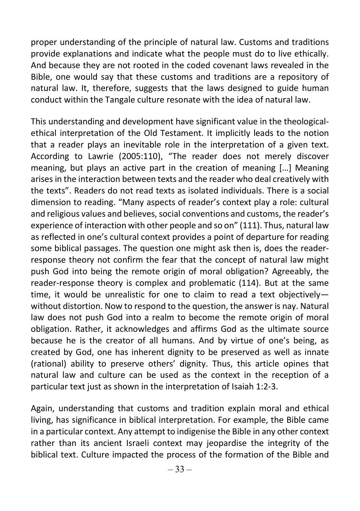proper understanding of the principle of natural law. Customs and traditions provide explanations and indicate what the people must do to live ethically. And because they are not rooted in the coded covenant laws revealed in the Bible, one would say that these customs and traditions are a repository of natural law. It, therefore, suggests that the laws designed to guide human conduct within the Tangale culture resonate with the idea of natural law.

This understanding and development have significant value in the theologicalethical interpretation of the Old Testament. It implicitly leads to the notion that a reader plays an inevitable role in the interpretation of a given text. According to Lawrie (2005:110), "The reader does not merely discover meaning, but plays an active part in the creation of meaning […] Meaning arises in the interaction between texts and the reader who deal creatively with the texts". Readers do not read texts as isolated individuals. There is a social dimension to reading. "Many aspects of reader's context play a role: cultural and religious values and believes, social conventions and customs, the reader's experience of interaction with other people and so on" (111). Thus, natural law as reflected in one's cultural context provides a point of departure for reading some biblical passages. The question one might ask then is, does the readerresponse theory not confirm the fear that the concept of natural law might push God into being the remote origin of moral obligation? Agreeably, the reader-response theory is complex and problematic (114). But at the same time, it would be unrealistic for one to claim to read a text objectively without distortion. Now to respond to the question, the answer is nay. Natural law does not push God into a realm to become the remote origin of moral obligation. Rather, it acknowledges and affirms God as the ultimate source because he is the creator of all humans. And by virtue of one's being, as created by God, one has inherent dignity to be preserved as well as innate (rational) ability to preserve others' dignity. Thus, this article opines that natural law and culture can be used as the context in the reception of a particular text just as shown in the interpretation of Isaiah 1:2-3.

Again, understanding that customs and tradition explain moral and ethical living, has significance in biblical interpretation. For example, the Bible came in a particular context. Any attempt to indigenise the Bible in any other context rather than its ancient Israeli context may jeopardise the integrity of the biblical text. Culture impacted the process of the formation of the Bible and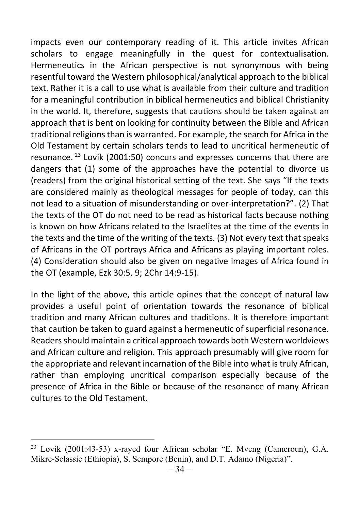impacts even our contemporary reading of it. This article invites African scholars to engage meaningfully in the quest for contextualisation. Hermeneutics in the African perspective is not synonymous with being resentful toward the Western philosophical/analytical approach to the biblical text. Rather it is a call to use what is available from their culture and tradition for a meaningful contribution in biblical hermeneutics and biblical Christianity in the world. It, therefore, suggests that cautions should be taken against an approach that is bent on looking for continuity between the Bible and African traditional religions than is warranted. For example, the search for Africa in the Old Testament by certain scholars tends to lead to uncritical hermeneutic of resonance.<sup>23</sup> Lovik (2001:50) concurs and expresses concerns that there are dangers that (1) some of the approaches have the potential to divorce us (readers) from the original historical setting of the text. She says "If the texts are considered mainly as theological messages for people of today, can this not lead to a situation of misunderstanding or over-interpretation?". (2) That the texts of the OT do not need to be read as historical facts because nothing is known on how Africans related to the Israelites at the time of the events in the texts and the time of the writing of the texts. (3) Not every text that speaks of Africans in the OT portrays Africa and Africans as playing important roles. (4) Consideration should also be given on negative images of Africa found in the OT (example, Ezk 30:5, 9; 2Chr 14:9-15).

In the light of the above, this article opines that the concept of natural law provides a useful point of orientation towards the resonance of biblical tradition and many African cultures and traditions. It is therefore important that caution be taken to guard against a hermeneutic of superficial resonance. Readers should maintain a critical approach towards both Western worldviews and African culture and religion. This approach presumably will give room for the appropriate and relevant incarnation of the Bible into what is truly African, rather than employing uncritical comparison especially because of the presence of Africa in the Bible or because of the resonance of many African cultures to the Old Testament.

<sup>23</sup> Lovik (2001:43-53) x-rayed four African scholar "E. Mveng (Cameroun), G.A. Mikre-Selassie (Ethiopia), S. Sempore (Benin), and D.T. Adamo (Nigeria)".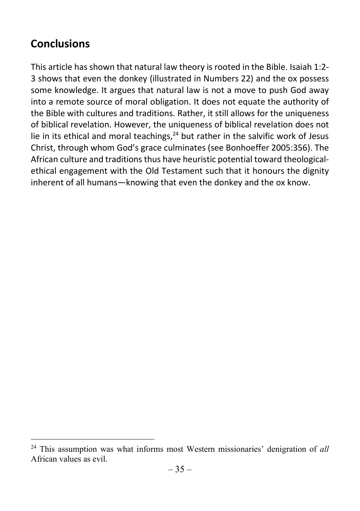## **Conclusions**

This article has shown that natural law theory is rooted in the Bible. Isaiah 1:2- 3 shows that even the donkey (illustrated in Numbers 22) and the ox possess some knowledge. It argues that natural law is not a move to push God away into a remote source of moral obligation. It does not equate the authority of the Bible with cultures and traditions. Rather, it still allows for the uniqueness of biblical revelation. However, the uniqueness of biblical revelation does not lie in its ethical and moral teachings,  $24$  but rather in the salvific work of Jesus Christ, through whom God's grace culminates (see Bonhoeffer 2005:356). The African culture and traditions thus have heuristic potential toward theologicalethical engagement with the Old Testament such that it honours the dignity inherent of all humans—knowing that even the donkey and the ox know.

 $24$  This assumption was what informs most Western missionaries' denigration of all African values as evil.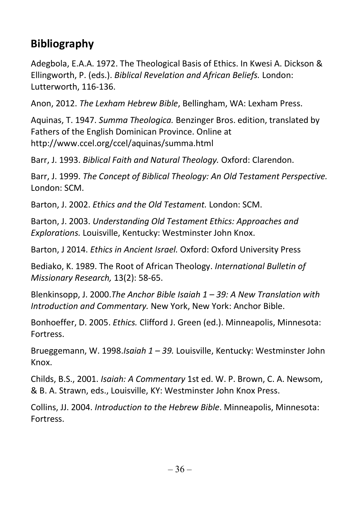# Bibliography

Adegbola, E.A.A. 1972. The Theological Basis of Ethics. In Kwesi A. Dickson & Ellingworth, P. (eds.). Biblical Revelation and African Beliefs. London: Lutterworth, 116-136.

Anon, 2012. The Lexham Hebrew Bible, Bellingham, WA: Lexham Press.

Aquinas, T. 1947. Summa Theologica. Benzinger Bros. edition, translated by Fathers of the English Dominican Province. Online at http://www.ccel.org/ccel/aquinas/summa.html

Barr, J. 1993. Biblical Faith and Natural Theology. Oxford: Clarendon.

Barr, J. 1999. The Concept of Biblical Theology: An Old Testament Perspective. London: SCM.

Barton, J. 2002. Ethics and the Old Testament. London: SCM.

Barton, J. 2003. Understanding Old Testament Ethics: Approaches and Explorations. Louisville, Kentucky: Westminster John Knox.

Barton, J 2014. Ethics in Ancient Israel. Oxford: Oxford University Press

Bediako, K. 1989. The Root of African Theology. International Bulletin of Missionary Research, 13(2): 58-65.

Blenkinsopp, J. 2000. The Anchor Bible Isaiah  $1 - 39$ : A New Translation with Introduction and Commentary. New York, New York: Anchor Bible.

Bonhoeffer, D. 2005. Ethics. Clifford J. Green (ed.). Minneapolis, Minnesota: Fortress.

Brueggemann, W. 1998.Isaiah 1 – 39. Louisville, Kentucky: Westminster John Knox.

Childs, B.S., 2001. Isaiah: A Commentary 1st ed. W. P. Brown, C. A. Newsom, & B. A. Strawn, eds., Louisville, KY: Westminster John Knox Press.

Collins, JJ. 2004. Introduction to the Hebrew Bible. Minneapolis, Minnesota: **Fortress**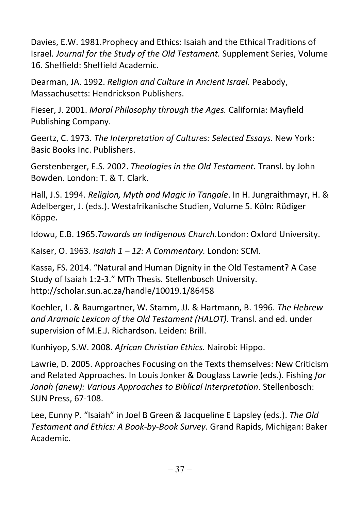Davies, E.W. 1981.Prophecy and Ethics: Isaiah and the Ethical Traditions of Israel. Journal for the Study of the Old Testament. Supplement Series, Volume 16. Sheffield: Sheffield Academic.

Dearman, JA. 1992. Religion and Culture in Ancient Israel. Peabody, Massachusetts: Hendrickson Publishers.

Fieser, J. 2001. Moral Philosophy through the Ages. California: Mayfield Publishing Company.

Geertz, C. 1973. The Interpretation of Cultures: Selected Essays. New York: Basic Books Inc. Publishers.

Gerstenberger, E.S. 2002. Theologies in the Old Testament. Transl. by John Bowden. London: T. & T. Clark.

Hall, J.S. 1994. Religion, Myth and Magic in Tangale. In H. Jungraithmayr, H. & Adelberger, J. (eds.). Westafrikanische Studien, Volume 5. Köln: Rüdiger Köppe.

Idowu, E.B. 1965.Towards an Indigenous Church.London: Oxford University.

Kaiser, O. 1963. Isaiah 1 - 12: A Commentary. London: SCM.

Kassa, FS. 2014. "Natural and Human Dignity in the Old Testament? A Case Study of Isaiah 1:2-3." MTh Thesis. Stellenbosch University. http://scholar.sun.ac.za/handle/10019.1/86458

Koehler, L. & Baumgartner, W. Stamm, JJ. & Hartmann, B. 1996. The Hebrew and Aramaic Lexicon of the Old Testament (HALOT). Transl. and ed. under supervision of M.E.J. Richardson. Leiden: Brill.

Kunhiyop, S.W. 2008. African Christian Ethics. Nairobi: Hippo.

Lawrie, D. 2005. Approaches Focusing on the Texts themselves: New Criticism and Related Approaches. In Louis Jonker & Douglass Lawrie (eds.). Fishing for Jonah (anew): Various Approaches to Biblical Interpretation. Stellenbosch: SUN Press, 67-108.

Lee, Eunny P. "Isaiah" in Joel B Green & Jacqueline E Lapsley (eds.). The Old Testament and Ethics: A Book-by-Book Survey. Grand Rapids, Michigan: Baker Academic.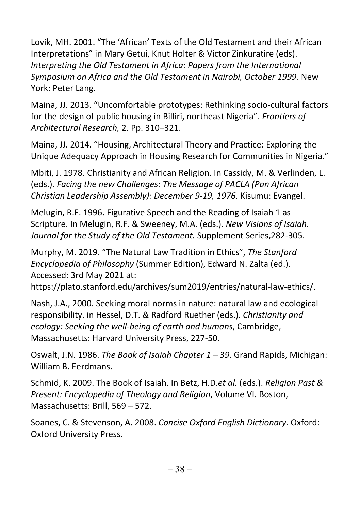Lovik, MH. 2001. "The 'African' Texts of the Old Testament and their African Interpretations" in Mary Getui, Knut Holter & Victor Zinkuratire (eds). Interpreting the Old Testament in Africa: Papers from the International Symposium on Africa and the Old Testament in Nairobi, October 1999. New York: Peter Lang.

Maina, JJ. 2013. "Uncomfortable prototypes: Rethinking socio-cultural factors for the design of public housing in Billiri, northeast Nigeria". Frontiers of Architectural Research, 2. Pp. 310–321.

Maina, JJ. 2014. "Housing, Architectural Theory and Practice: Exploring the Unique Adequacy Approach in Housing Research for Communities in Nigeria."

Mbiti, J. 1978. Christianity and African Religion. In Cassidy, M. & Verlinden, L. (eds.). Facing the new Challenges: The Message of PACLA (Pan African Christian Leadership Assembly): December 9-19, 1976. Kisumu: Evangel.

Melugin, R.F. 1996. Figurative Speech and the Reading of Isaiah 1 as Scripture. In Melugin, R.F. & Sweeney, M.A. (eds.). New Visions of Isaiah. Journal for the Study of the Old Testament. Supplement Series,282-305.

Murphy, M. 2019. "The Natural Law Tradition in Ethics", The Stanford Encyclopedia of Philosophy (Summer Edition), Edward N. Zalta (ed.). Accessed: 3rd May 2021 at:

https://plato.stanford.edu/archives/sum2019/entries/natural-law-ethics/.

Nash, J.A., 2000. Seeking moral norms in nature: natural law and ecological responsibility. in Hessel, D.T. & Radford Ruether (eds.). Christianity and ecology: Seeking the well-being of earth and humans, Cambridge, Massachusetts: Harvard University Press, 227-50.

Oswalt, J.N. 1986. The Book of Isaiah Chapter  $1 - 39$ . Grand Rapids, Michigan: William B. Eerdmans.

Schmid, K. 2009. The Book of Isaiah. In Betz, H.D.et al. (eds.). Religion Past & Present: Encyclopedia of Theology and Religion, Volume VI. Boston, Massachusetts: Brill, 569 – 572.

Soanes, C. & Stevenson, A. 2008. Concise Oxford English Dictionary. Oxford: Oxford University Press.